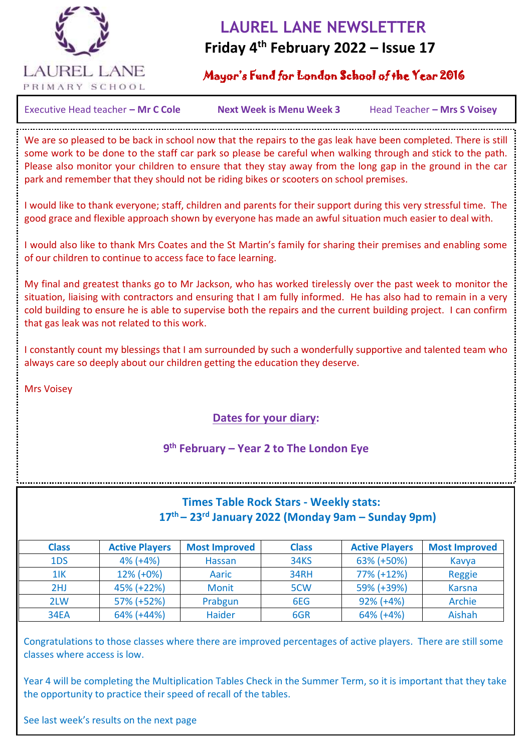

## **LAUREL LANE NEWSLETTER Friday 4th February 2022 – Issue 17**

## Mayor's Fund for London School of the Year 2016

Executive Head teacher – Mr C Cole **Next Week is Menu Week 3** Head Teacher – Mrs S Voisey

 $\overline{a}$ 

We are so pleased to be back in school now that the repairs to the gas leak have been completed. There is still some work to be done to the staff car park so please be careful when walking through and stick to the path. Please also monitor your children to ensure that they stay away from the long gap in the ground in the car park and remember that they should not be riding bikes or scooters on school premises.

I would like to thank everyone; staff, children and parents for their support during this very stressful time. The good grace and flexible approach shown by everyone has made an awful situation much easier to deal with.

I would also like to thank Mrs Coates and the St Martin's family for sharing their premises and enabling some of our children to continue to access face to face learning.

My final and greatest thanks go to Mr Jackson, who has worked tirelessly over the past week to monitor the situation, liaising with contractors and ensuring that I am fully informed. He has also had to remain in a very cold building to ensure he is able to supervise both the repairs and the current building project. I can confirm that gas leak was not related to this work.

I constantly count my blessings that I am surrounded by such a wonderfully supportive and talented team who always care so deeply about our children getting the education they deserve.

Mrs Voisey

## **Dates for your diary:**

### **9 th February – Year 2 to The London Eye**

## **Times Table Rock Stars - Weekly stats: 17th – 23rd January 2022 (Monday 9am – Sunday 9pm)**

| <b>Class</b> | <b>Active Players</b> | <b>Most Improved</b> | <b>Class</b>     | <b>Active Players</b> | <b>Most Improved</b> |
|--------------|-----------------------|----------------------|------------------|-----------------------|----------------------|
| 1DS          | $4\%$ (+4%)           | <b>Hassan</b>        | <b>34KS</b>      | 63% (+50%)            | Kavya                |
| 11K          | $12\%$ (+0%)          | Aaric                | <b>34RH</b>      | 77% (+12%)            | Reggie               |
| 2HJ          | 45% (+22%)            | <b>Monit</b>         | 5 <sub>C</sub> W | 59% (+39%)            | <b>Karsna</b>        |
| 2LW          | 57% (+52%)            | Prabgun              | 6EG              | $92\% (+4\%)$         | Archie               |
| <b>34EA</b>  | $64\%$ (+44%)         | <b>Haider</b>        | 6GR              | $64\%$ (+4%)          | <b>Aishah</b>        |

Congratulations to those classes where there are improved percentages of active players. There are still some classes where access is low.

Year 4 will be completing the Multiplication Tables Check in the Summer Term, so it is important that they take the opportunity to practice their speed of recall of the tables.

See last week's results on the next page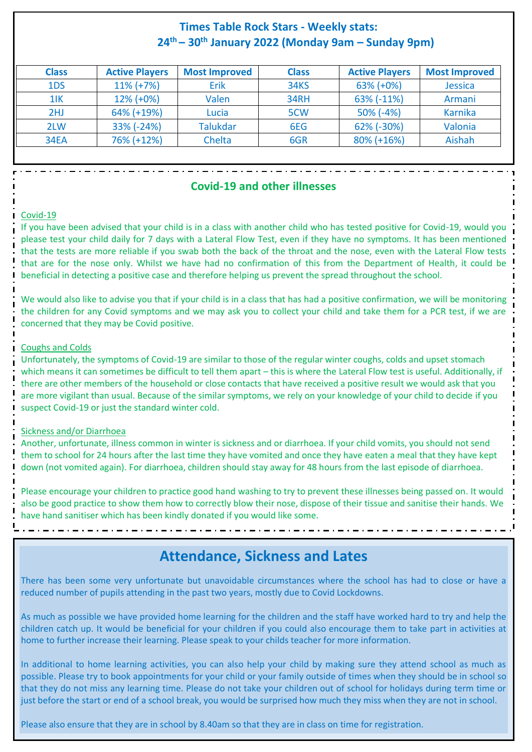## **Times Table Rock Stars - Weekly stats: 24th – 30th January 2022 (Monday 9am – Sunday 9pm)**

| <b>Class</b> | <b>Active Players</b> | <b>Most Improved</b> | <b>Class</b>     | <b>Active Players</b> | <b>Most Improved</b> |
|--------------|-----------------------|----------------------|------------------|-----------------------|----------------------|
| 1DS          | $11\% (+7\%)$         | Erik                 | <b>34KS</b>      | $63\%$ (+0%)          | <b>Jessica</b>       |
| $1$ IK       | $12\%$ (+0%)          | Valen                | <b>34RH</b>      | 63% (-11%)            | Armani               |
| 2HJ          | 64% (+19%)            | Lucia                | 5 <sub>C</sub> W | $50\%$ (-4%)          | Karnika              |
| 2LW          | $33\%$ (-24%)         | <b>Talukdar</b>      | 6EG              | 62% (-30%)            | Valonia              |
| <b>34EA</b>  | 76% (+12%)            | Chelta               | 6GR              | 80% (+16%)            | Aishah               |

#### **Covid-19 and other illnesses**

#### Covid-19

If you have been advised that your child is in a class with another child who has tested positive for Covid-19, would you please test your child daily for 7 days with a Lateral Flow Test, even if they have no symptoms. It has been mentioned that the tests are more reliable if you swab both the back of the throat and the nose, even with the Lateral Flow tests that are for the nose only. Whilst we have had no confirmation of this from the Department of Health, it could be beneficial in detecting a positive case and therefore helping us prevent the spread throughout the school.

We would also like to advise you that if your child is in a class that has had a positive confirmation, we will be monitoring the children for any Covid symptoms and we may ask you to collect your child and take them for a PCR test, if we are concerned that they may be Covid positive.

#### Coughs and Colds

Unfortunately, the symptoms of Covid-19 are similar to those of the regular winter coughs, colds and upset stomach which means it can sometimes be difficult to tell them apart – this is where the Lateral Flow test is useful. Additionally, if there are other members of the household or close contacts that have received a positive result we would ask that you are more vigilant than usual. Because of the similar symptoms, we rely on your knowledge of your child to decide if you suspect Covid-19 or just the standard winter cold.

#### Sickness and/or Diarrhoea

Another, unfortunate, illness common in winter is sickness and or diarrhoea. If your child vomits, you should not send them to school for 24 hours after the last time they have vomited and once they have eaten a meal that they have kept down (not vomited again). For diarrhoea, children should stay away for 48 hours from the last episode of diarrhoea.

Please encourage your children to practice good hand washing to try to prevent these illnesses being passed on. It would also be good practice to show them how to correctly blow their nose, dispose of their tissue and sanitise their hands. We have hand sanitiser which has been kindly donated if you would like some.

## **Attendance, Sickness and Lates**

There has been some very unfortunate but unavoidable circumstances where the school has had to close or have a reduced number of pupils attending in the past two years, mostly due to Covid Lockdowns.

As much as possible we have provided home learning for the children and the staff have worked hard to try and help the children catch up. It would be beneficial for your children if you could also encourage them to take part in activities at home to further increase their learning. Please speak to your childs teacher for more information.

In additional to home learning activities, you can also help your child by making sure they attend school as much as possible. Please try to book appointments for your child or your family outside of times when they should be in school so that they do not miss any learning time. Please do not take your children out of school for holidays during term time or just before the start or end of a school break, you would be surprised how much they miss when they are not in school.

Please also ensure that they are in school by 8.40am so that they are in class on time for registration.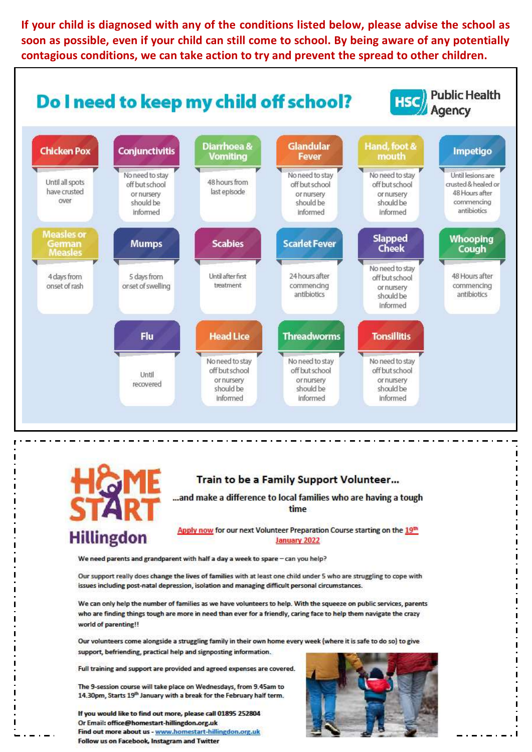If your child is diagnosed with any of the conditions listed below, please advise the school as soon as possible, even if your child can still come to school. By being aware of any potentially contagious conditions, we can take action to try and prevent the spread to other children.





#### Train to be a Family Support Volunteer...

...and make a difference to local families who are having a tough time

Apply now for our next Volunteer Preparation Course starting on the 19th January 2022

We need parents and grandparent with half a day a week to spare - can you help?

Our support really does change the lives of families with at least one child under 5 who are struggling to cope with issues including post-natal depression, isolation and managing difficult personal circumstances.

We can only help the number of families as we have volunteers to help. With the squeeze on public services, parents who are finding things tough are more in need than ever for a friendly, caring face to help them navigate the crazy world of parenting!!

Our volunteers come alongside a struggling family in their own home every week (where it is safe to do so) to give support, befriending, practical help and signposting information.

Full training and support are provided and agreed expenses are covered.

The 9-session course will take place on Wednesdays, from 9.45am to 14.30pm, Starts 19<sup>th</sup> January with a break for the February half term.

If you would like to find out more, please call 01895 252804 Or Email: office@homestart-hillingdon.org.uk Find out more about us - www.homestart-hillingdon.org.uk Follow us on Facebook, Instagram and Twitter

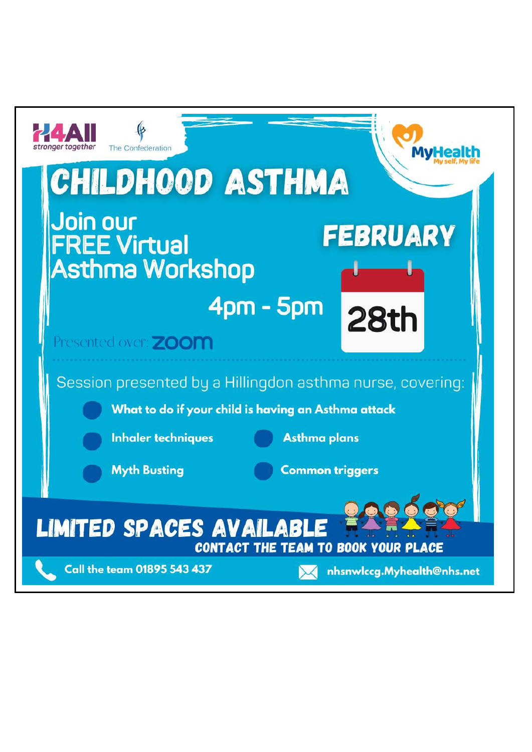